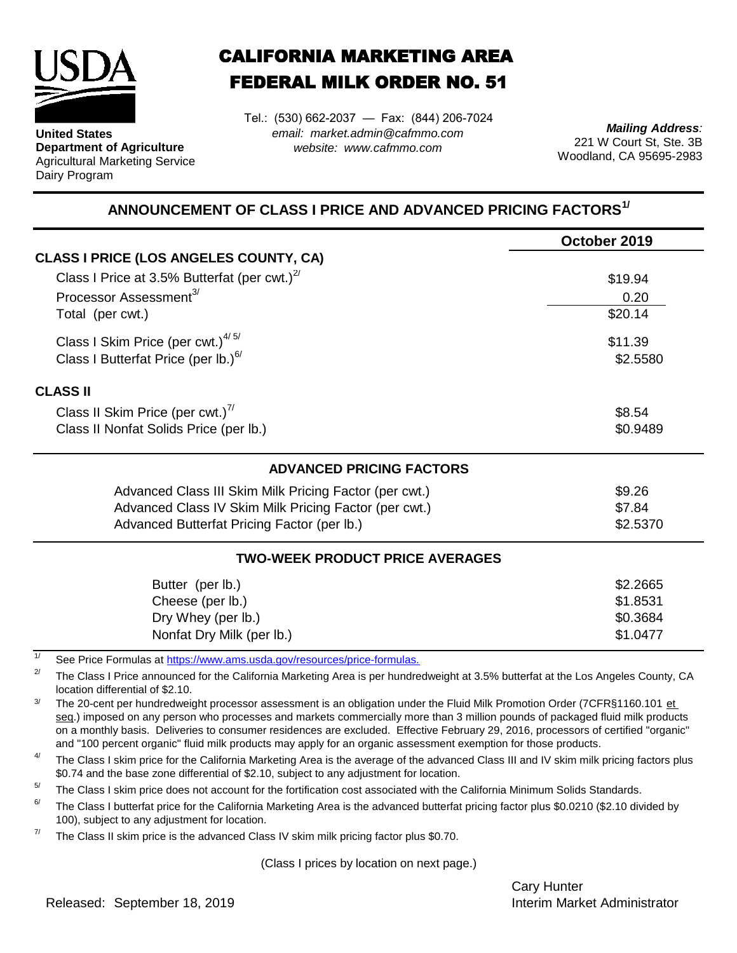

**United States Department of Agriculture** Agricultural Marketing Service Dairy Program

## CALIFORNIA MARKETING AREA FEDERAL MILK ORDER NO. 51

Tel.: (530) 662-2037 — Fax: (844) 206-7024 *email: market.admin@cafmmo.com website: www.cafmmo.com*

*Mailing Address:* 221 W Court St, Ste. 3B Woodland, CA 95695-2983

## **ANNOUNCEMENT OF CLASS I PRICE AND ADVANCED PRICING FACTORS1/**

|                                                                                | October 2019 |  |  |
|--------------------------------------------------------------------------------|--------------|--|--|
| <b>CLASS I PRICE (LOS ANGELES COUNTY, CA)</b>                                  |              |  |  |
| Class I Price at 3.5% Butterfat (per cwt.) $^{27}$                             | \$19.94      |  |  |
| Processor Assessment <sup>3/</sup>                                             | 0.20         |  |  |
| Total (per cwt.)                                                               | \$20.14      |  |  |
| Class I Skim Price (per cwt.) $4/5/$                                           | \$11.39      |  |  |
| Class I Butterfat Price (per lb.) $6/$                                         | \$2.5580     |  |  |
| <b>CLASS II</b>                                                                |              |  |  |
| Class II Skim Price (per cwt.) <sup>7/</sup>                                   | \$8.54       |  |  |
| Class II Nonfat Solids Price (per lb.)                                         | \$0.9489     |  |  |
| <b>ADVANCED PRICING FACTORS</b>                                                |              |  |  |
| Advanced Class III Skim Milk Pricing Factor (per cwt.)                         | \$9.26       |  |  |
| Advanced Class IV Skim Milk Pricing Factor (per cwt.)                          | \$7.84       |  |  |
| Advanced Butterfat Pricing Factor (per lb.)                                    | \$2.5370     |  |  |
| <b>TWO-WEEK PRODUCT PRICE AVERAGES</b>                                         |              |  |  |
| Butter (per lb.)                                                               | \$2.2665     |  |  |
| Cheese (per lb.)                                                               | \$1.8531     |  |  |
| Dry Whey (per lb.)                                                             | \$0.3684     |  |  |
| Nonfat Dry Milk (per lb.)                                                      | \$1.0477     |  |  |
| 1/<br>See Price Formulas at https://www.ams.usda.gov/resources/price-formulas. |              |  |  |

2/ The Class I Price announced for the California Marketing Area is per hundredweight at 3.5% butterfat at the Los Angeles County, CA location differential of \$2.10.

3/ The 20-cent per hundredweight processor assessment is an obligation under the Fluid Milk Promotion Order (7CFR§1160.101 et seg.) imposed on any person who processes and markets commercially more than 3 million pounds of packaged fluid milk products on a monthly basis. Deliveries to consumer residences are excluded. Effective February 29, 2016, processors of certified "organic" and "100 percent organic" fluid milk products may apply for an organic assessment exemption for those products.

4/ The Class I skim price for the California Marketing Area is the average of the advanced Class III and IV skim milk pricing factors plus \$0.74 and the base zone differential of \$2.10, subject to any adjustment for location.

 $5/$ The Class I skim price does not account for the fortification cost associated with the California Minimum Solids Standards.

6/ The Class I butterfat price for the California Marketing Area is the advanced butterfat pricing factor plus \$0.0210 (\$2.10 divided by 100), subject to any adjustment for location.

7/ The Class II skim price is the advanced Class IV skim milk pricing factor plus \$0.70.

(Class I prices by location on next page.)